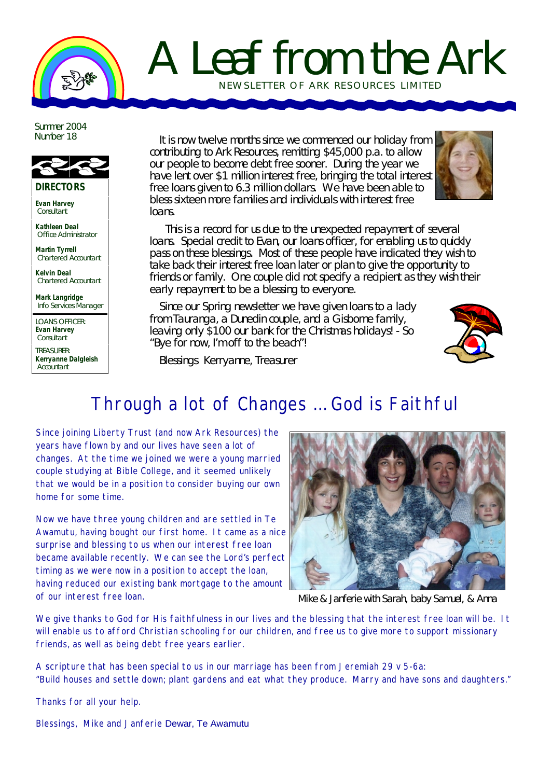## A Leaf from the Ark NEWSLETTER OF ARK RE SOURCES LIMITED

Summer 2004 Number 18



**DIRECTORS**

**Evan Harvey Consultant** 

**Kathleen Deal** Office Administrator

**Martin Tyrrell** Chartered Accountant

**Kelvin Deal** Chartered Accountant

**Mark Langridge** Info Services Manager

LOANS OFFICER: **Evan Harvey** Consultant

TREASURER: **Kerryanne Dalgleish Accountant** 

It is now twelve months since we commenced our holiday from contributing to Ark Resources, remitting \$45,000 p.a. to allow our people to become debt free sooner. During the year we have lent over \$1 million interest free, bringing the total interest free loans given to 6.3 million dollars. We have been able to bless sixteen more families and individuals with interest free loans.



 This is a record for us due to the unexpected repayment of several loans. Special credit to Evan, our loans officer, for enabling us to quickly pass on these blessings. Most of these people have indicated they wish to take back their interest free loan later or plan to give the opportunity to friends or family. One couple did not specify a recipient as they wish their early repayment to be a blessing to everyone.

Since our Spring newsletter we have given loans to a lady from Tauranga, a Dunedin couple, and a Gisborne family, leaving only \$100 our bank for the Christmas holidays! - So "Bye for now, I'm off to the beach"!



Blessings Kerryanne, Treasurer

## Through a lot of Changes … God is Faithful

Since joining Liberty Trust (and now Ark Resources) the years have flown by and our lives have seen a lot of changes. At the time we joined we were a young married couple studying at Bible College, and it seemed unlikely that we would be in a position to consider buying our own home for some time.

Now we have three young children and are settled in Te Awamutu, having bought our first home. It came as a nice surprise and blessing to us when our interest free loan became available recently. We can see the Lord's perfect timing as we were now in a position to accept the loan, having reduced our existing bank mortgage to the amount of our interest free loan.



*Mike & Janferie with Sarah, baby Samuel, & Anna*

We give thanks to God for His faithfulness in our lives and the blessing that the interest free loan will be. It will enable us to afford Christian schooling for our children, and free us to give more to support missionary friends, as well as being debt free years earlier.

A scripture that has been special to us in our marriage has been from Jeremiah 29 v 5-6a: "Build houses and settle down; plant gardens and eat what they produce. Marry and have sons and daughters."

Thanks for all your help.

Blessings, Mike and Janferie Dewar, Te Awamutu